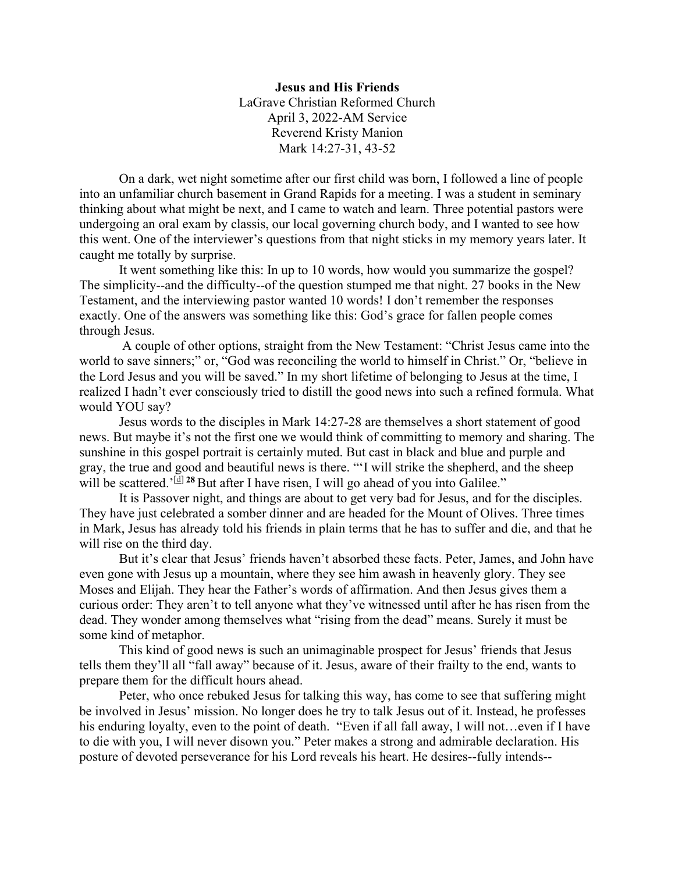## **Jesus and His Friends** LaGrave Christian Reformed Church April 3, 2022-AM Service Reverend Kristy Manion Mark 14:27-31, 43-52

On a dark, wet night sometime after our first child was born, I followed a line of people into an unfamiliar church basement in Grand Rapids for a meeting. I was a student in seminary thinking about what might be next, and I came to watch and learn. Three potential pastors were undergoing an oral exam by classis, our local governing church body, and I wanted to see how this went. One of the interviewer's questions from that night sticks in my memory years later. It caught me totally by surprise.

It went something like this: In up to 10 words, how would you summarize the gospel? The simplicity--and the difficulty--of the question stumped me that night. 27 books in the New Testament, and the interviewing pastor wanted 10 words! I don't remember the responses exactly. One of the answers was something like this: God's grace for fallen people comes through Jesus.

A couple of other options, straight from the New Testament: "Christ Jesus came into the world to save sinners;" or, "God was reconciling the world to himself in Christ." Or, "believe in the Lord Jesus and you will be saved." In my short lifetime of belonging to Jesus at the time, I realized I hadn't ever consciously tried to distill the good news into such a refined formula. What would YOU say?

Jesus words to the disciples in Mark 14:27-28 are themselves a short statement of good news. But maybe it's not the first one we would think of committing to memory and sharing. The sunshine in this gospel portrait is certainly muted. But cast in black and blue and purple and gray, the true and good and beautiful news is there. "'I will strike the shepherd, and the sheep will be scattered.<sup>'[\[d\]](https://www.biblegateway.com/passage/?search=Mark+14&version=NIV#fen-NIV-24782d) 28</sup> But after I have risen, I will go ahead of you into Galilee."

It is Passover night, and things are about to get very bad for Jesus, and for the disciples. They have just celebrated a somber dinner and are headed for the Mount of Olives. Three times in Mark, Jesus has already told his friends in plain terms that he has to suffer and die, and that he will rise on the third day.

But it's clear that Jesus' friends haven't absorbed these facts. Peter, James, and John have even gone with Jesus up a mountain, where they see him awash in heavenly glory. They see Moses and Elijah. They hear the Father's words of affirmation. And then Jesus gives them a curious order: They aren't to tell anyone what they've witnessed until after he has risen from the dead. They wonder among themselves what "rising from the dead" means. Surely it must be some kind of metaphor.

This kind of good news is such an unimaginable prospect for Jesus' friends that Jesus tells them they'll all "fall away" because of it. Jesus, aware of their frailty to the end, wants to prepare them for the difficult hours ahead.

Peter, who once rebuked Jesus for talking this way, has come to see that suffering might be involved in Jesus' mission. No longer does he try to talk Jesus out of it. Instead, he professes his enduring loyalty, even to the point of death. "Even if all fall away, I will not...even if I have to die with you, I will never disown you." Peter makes a strong and admirable declaration. His posture of devoted perseverance for his Lord reveals his heart. He desires--fully intends--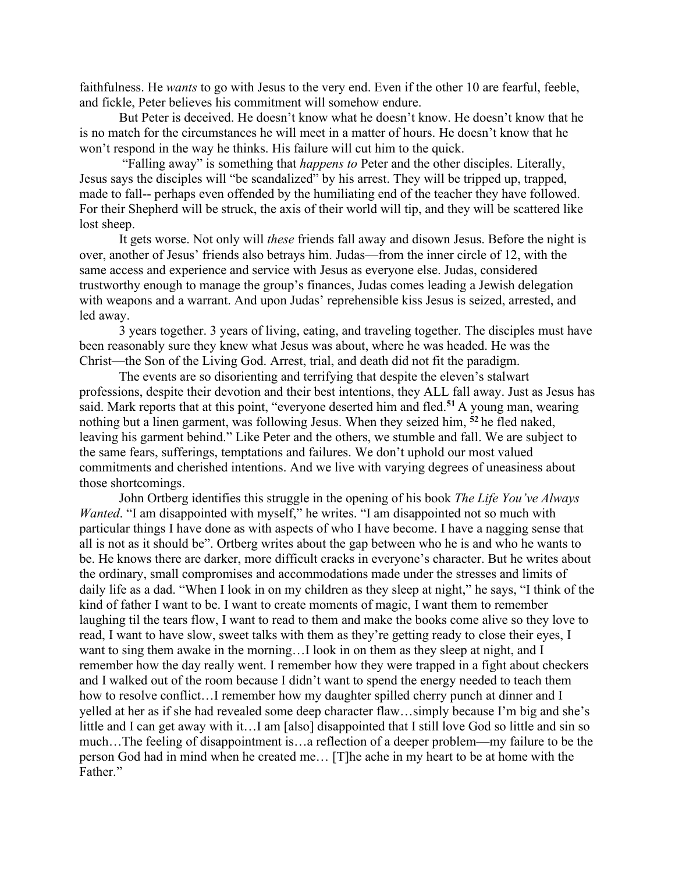faithfulness. He *wants* to go with Jesus to the very end. Even if the other 10 are fearful, feeble, and fickle, Peter believes his commitment will somehow endure.

But Peter is deceived. He doesn't know what he doesn't know. He doesn't know that he is no match for the circumstances he will meet in a matter of hours. He doesn't know that he won't respond in the way he thinks. His failure will cut him to the quick.

"Falling away" is something that *happens to* Peter and the other disciples. Literally, Jesus says the disciples will "be scandalized" by his arrest. They will be tripped up, trapped, made to fall-- perhaps even offended by the humiliating end of the teacher they have followed. For their Shepherd will be struck, the axis of their world will tip, and they will be scattered like lost sheep.

It gets worse. Not only will *these* friends fall away and disown Jesus. Before the night is over, another of Jesus' friends also betrays him. Judas—from the inner circle of 12, with the same access and experience and service with Jesus as everyone else. Judas, considered trustworthy enough to manage the group's finances, Judas comes leading a Jewish delegation with weapons and a warrant. And upon Judas' reprehensible kiss Jesus is seized, arrested, and led away.

3 years together. 3 years of living, eating, and traveling together. The disciples must have been reasonably sure they knew what Jesus was about, where he was headed. He was the Christ—the Son of the Living God. Arrest, trial, and death did not fit the paradigm.

The events are so disorienting and terrifying that despite the eleven's stalwart professions, despite their devotion and their best intentions, they ALL fall away. Just as Jesus has said. Mark reports that at this point, "everyone deserted him and fled.**<sup>51</sup>** A young man, wearing nothing but a linen garment, was following Jesus. When they seized him, **<sup>52</sup>** he fled naked, leaving his garment behind." Like Peter and the others, we stumble and fall. We are subject to the same fears, sufferings, temptations and failures. We don't uphold our most valued commitments and cherished intentions. And we live with varying degrees of uneasiness about those shortcomings.

John Ortberg identifies this struggle in the opening of his book *The Life You've Always Wanted*. "I am disappointed with myself," he writes. "I am disappointed not so much with particular things I have done as with aspects of who I have become. I have a nagging sense that all is not as it should be". Ortberg writes about the gap between who he is and who he wants to be. He knows there are darker, more difficult cracks in everyone's character. But he writes about the ordinary, small compromises and accommodations made under the stresses and limits of daily life as a dad. "When I look in on my children as they sleep at night," he says, "I think of the kind of father I want to be. I want to create moments of magic, I want them to remember laughing til the tears flow, I want to read to them and make the books come alive so they love to read, I want to have slow, sweet talks with them as they're getting ready to close their eyes, I want to sing them awake in the morning…I look in on them as they sleep at night, and I remember how the day really went. I remember how they were trapped in a fight about checkers and I walked out of the room because I didn't want to spend the energy needed to teach them how to resolve conflict...I remember how my daughter spilled cherry punch at dinner and I yelled at her as if she had revealed some deep character flaw…simply because I'm big and she's little and I can get away with it…I am [also] disappointed that I still love God so little and sin so much…The feeling of disappointment is…a reflection of a deeper problem—my failure to be the person God had in mind when he created me… [T]he ache in my heart to be at home with the Father."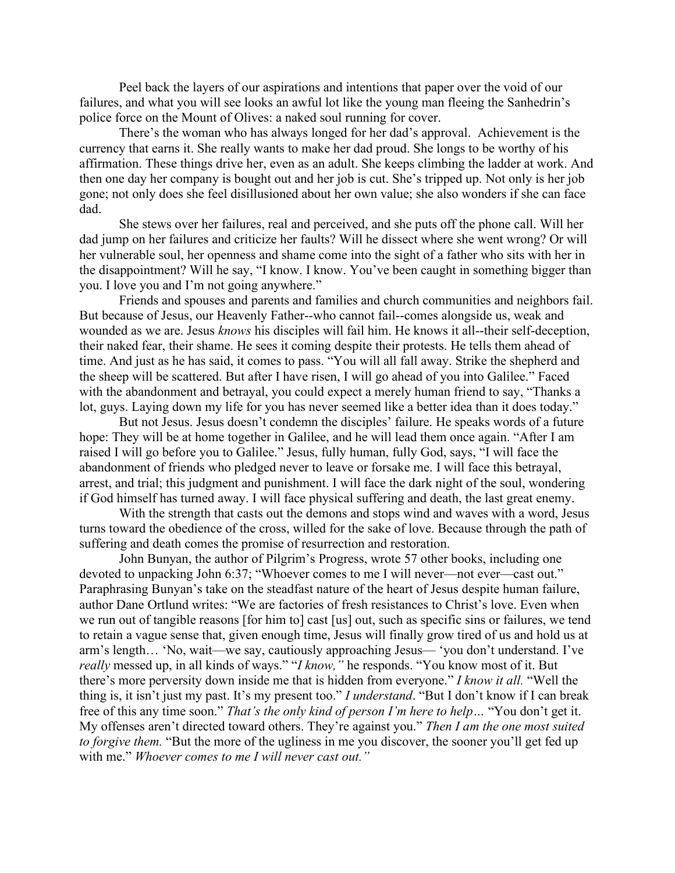Peel back the layers of our aspirations and intentions that paper over the void of our failures, and what you will see looks an awful lot like the young man fleeing the Sanhedrin's police force on the Mount of Olives: a naked soul running for cover.

There's the woman who has always longed for her dad's approval. Achievement is the currency that earns it. She really wants to make her dad proud. She longs to be worthy of his affirmation. These things drive her, even as an adult. She keeps climbing the ladder at work. And then one day her company is bought out and her job is cut. She's tripped up. Not only is her job gone; not only does she feel disillusioned about her own value; she also wonders if she can face dad.

She stews over her failures, real and perceived, and she puts off the phone call. Will her dad jump on her failures and criticize her faults? Will he dissect where she went wrong? Or will her vulnerable soul, her openness and shame come into the sight of a father who sits with her in the disappointment? Will he say, "I know. I know. You've been caught in something bigger than you. I love you and I'm not going anywhere."

Friends and spouses and parents and families and church communities and neighbors fail. But because of Jesus, our Heavenly Father--who cannot fail--comes alongside us, weak and wounded as we are. Jesus *knows* his disciples will fail him. He knows it all--their self-deception, their naked fear, their shame. He sees it coming despite their protests. He tells them ahead of time. And just as he has said, it comes to pass. "You will all fall away. Strike the shepherd and the sheep will be scattered. But after I have risen, I will go ahead of you into Galilee." Faced with the abandonment and betrayal, you could expect a merely human friend to say, "Thanks a lot, guys. Laying down my life for you has never seemed like a better idea than it does today."

But not Jesus. Jesus doesn't condemn the disciples' failure. He speaks words of a future hope: They will be at home together in Galilee, and he will lead them once again. "After I am raised I will go before you to Galilee." Jesus, fully human, fully God, says, "I will face the abandonment of friends who pledged never to leave or forsake me. I will face this betrayal, arrest, and trial; this judgment and punishment. I will face the dark night of the soul, wondering if God himself has turned away. I will face physical suffering and death, the last great enemy.

With the strength that casts out the demons and stops wind and waves with a word, Jesus turns toward the obedience of the cross, willed for the sake of love. Because through the path of suffering and death comes the promise of resurrection and restoration.

John Bunyan, the author of Pilgrim's Progress, wrote 57 other books, including one devoted to unpacking John 6:37; "Whoever comes to me I will never—not ever—cast out." Paraphrasing Bunyan's take on the steadfast nature of the heart of Jesus despite human failure, author Dane Ortlund writes: "We are factories of fresh resistances to Christ's love. Even when we run out of tangible reasons [for him to] cast [us] out, such as specific sins or failures, we tend to retain a vague sense that, given enough time, Jesus will finally grow tired of us and hold us at arm's length… 'No, wait—we say, cautiously approaching Jesus— 'you don't understand. I've *really* messed up, in all kinds of ways." "*I know,"* he responds. "You know most of it. But there's more perversity down inside me that is hidden from everyone." *I know it all.* "Well the thing is, it isn't just my past. It's my present too." *I understand*. "But I don't know if I can break free of this any time soon." *That's the only kind of person I'm here to help…* "You don't get it. My offenses aren't directed toward others. They're against you." *Then I am the one most suited to forgive them.* "But the more of the ugliness in me you discover, the sooner you'll get fed up with me." *Whoever comes to me I will never cast out."*